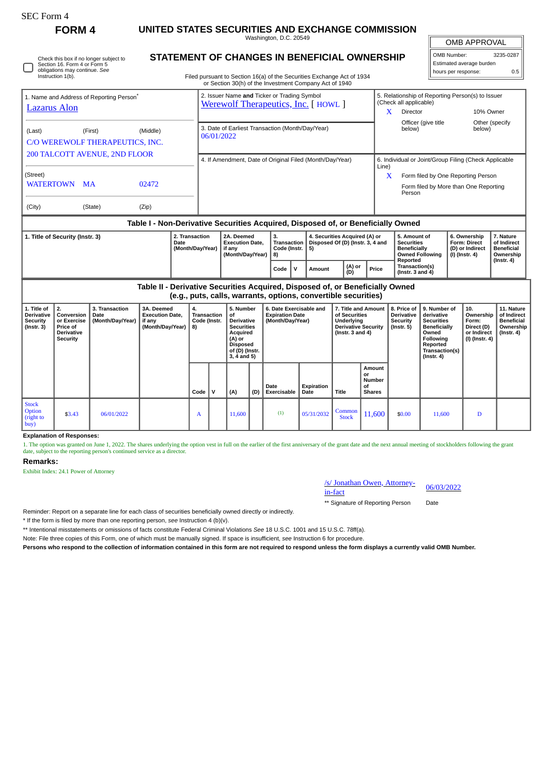| <b>SEC Form 4</b>                                                             |                                                                                                                              |                                                                                                                                                                                  |                                                                                  |          |                                                                                   |                                                                                                                                         |                     |                                                                       |                    |                        |                                                                                                                  |                                                      |                                                                                                  |                                                                                                                                                       |                                                               |                                                                            |                                                                                 |  |
|-------------------------------------------------------------------------------|------------------------------------------------------------------------------------------------------------------------------|----------------------------------------------------------------------------------------------------------------------------------------------------------------------------------|----------------------------------------------------------------------------------|----------|-----------------------------------------------------------------------------------|-----------------------------------------------------------------------------------------------------------------------------------------|---------------------|-----------------------------------------------------------------------|--------------------|------------------------|------------------------------------------------------------------------------------------------------------------|------------------------------------------------------|--------------------------------------------------------------------------------------------------|-------------------------------------------------------------------------------------------------------------------------------------------------------|---------------------------------------------------------------|----------------------------------------------------------------------------|---------------------------------------------------------------------------------|--|
|                                                                               | <b>FORM4</b>                                                                                                                 | UNITED STATES SECURITIES AND EXCHANGE COMMISSION<br>Washington, D.C. 20549                                                                                                       |                                                                                  |          |                                                                                   |                                                                                                                                         |                     |                                                                       |                    |                        |                                                                                                                  |                                                      |                                                                                                  |                                                                                                                                                       | <b>OMB APPROVAL</b>                                           |                                                                            |                                                                                 |  |
|                                                                               | Check this box if no longer subject to<br>Section 16. Form 4 or Form 5<br>obligations may continue. See<br>Instruction 1(b). | STATEMENT OF CHANGES IN BENEFICIAL OWNERSHIP<br>Filed pursuant to Section 16(a) of the Securities Exchange Act of 1934<br>or Section 30(h) of the Investment Company Act of 1940 |                                                                                  |          |                                                                                   |                                                                                                                                         |                     |                                                                       |                    |                        |                                                                                                                  |                                                      |                                                                                                  | OMB Number:                                                                                                                                           | Estimated average burden<br>hours per response:               | 3235-0287<br>0.5                                                           |                                                                                 |  |
| 1. Name and Address of Reporting Person <sup>®</sup><br><b>Lazarus</b> Alon   |                                                                                                                              |                                                                                                                                                                                  |                                                                                  |          | 2. Issuer Name and Ticker or Trading Symbol<br>Werewolf Therapeutics, Inc. [HOWL] |                                                                                                                                         |                     |                                                                       |                    |                        |                                                                                                                  |                                                      | (Check all applicable)<br>Director<br>X.                                                         |                                                                                                                                                       | 5. Relationship of Reporting Person(s) to Issuer<br>10% Owner |                                                                            |                                                                                 |  |
| (First)<br>(Middle)<br>(Last)<br>C/O WEREWOLF THERAPEUTICS, INC.              |                                                                                                                              |                                                                                                                                                                                  |                                                                                  |          | 3. Date of Earliest Transaction (Month/Day/Year)<br>06/01/2022                    |                                                                                                                                         |                     |                                                                       |                    |                        |                                                                                                                  |                                                      | Officer (give title<br>Other (specify<br>below)<br>below)                                        |                                                                                                                                                       |                                                               |                                                                            |                                                                                 |  |
| <b>200 TALCOTT AVENUE, 2ND FLOOR</b><br>(Street)                              |                                                                                                                              |                                                                                                                                                                                  |                                                                                  |          | 4. If Amendment, Date of Original Filed (Month/Day/Year)<br>Line)                 |                                                                                                                                         |                     |                                                                       |                    |                        |                                                                                                                  |                                                      | 6. Individual or Joint/Group Filing (Check Applicable<br>X<br>Form filed by One Reporting Person |                                                                                                                                                       |                                                               |                                                                            |                                                                                 |  |
| WATERTOWN<br>MA<br>02472<br>(Zip)<br>(City)<br>(State)                        |                                                                                                                              |                                                                                                                                                                                  |                                                                                  |          |                                                                                   |                                                                                                                                         |                     |                                                                       |                    |                        |                                                                                                                  |                                                      | Form filed by More than One Reporting<br>Person                                                  |                                                                                                                                                       |                                                               |                                                                            |                                                                                 |  |
|                                                                               |                                                                                                                              |                                                                                                                                                                                  | Table I - Non-Derivative Securities Acquired, Disposed of, or Beneficially Owned |          |                                                                                   |                                                                                                                                         |                     |                                                                       |                    |                        |                                                                                                                  |                                                      |                                                                                                  |                                                                                                                                                       |                                                               |                                                                            |                                                                                 |  |
| 2. Transaction<br>1. Title of Security (Instr. 3)<br>Date<br>(Month/Day/Year) |                                                                                                                              |                                                                                                                                                                                  |                                                                                  |          |                                                                                   | 2A. Deemed<br><b>Execution Date.</b><br>if any<br>(Month/Day/Year)                                                                      |                     | 3.<br><b>Transaction</b><br>Code (Instr.<br>5)<br>8)                  |                    |                        | 4. Securities Acquired (A) or<br>Disposed Of (D) (Instr. 3, 4 and                                                |                                                      | 5. Amount of<br><b>Securities</b><br><b>Beneficially</b><br><b>Owned Following</b>               |                                                                                                                                                       |                                                               | 6. Ownership<br><b>Form: Direct</b><br>(D) or Indirect<br>$(I)$ (Instr. 4) | 7. Nature<br>of Indirect<br><b>Beneficial</b><br>Ownership                      |  |
|                                                                               |                                                                                                                              |                                                                                                                                                                                  |                                                                                  |          |                                                                                   |                                                                                                                                         | Code<br>$\mathbf v$ | Amount                                                                |                    | (A) or<br>(D)          | Reported<br>Transaction(s)<br>Price<br>(Instr. $3$ and $4$ )                                                     |                                                      |                                                                                                  |                                                                                                                                                       |                                                               | $($ Instr. 4 $)$                                                           |                                                                                 |  |
|                                                                               |                                                                                                                              |                                                                                                                                                                                  | Table II - Derivative Securities Acquired, Disposed of, or Beneficially Owned    |          |                                                                                   |                                                                                                                                         |                     | (e.g., puts, calls, warrants, options, convertible securities)        |                    |                        |                                                                                                                  |                                                      |                                                                                                  |                                                                                                                                                       |                                                               |                                                                            |                                                                                 |  |
| 1. Title of<br><b>Derivative</b><br>Security<br>$($ Instr. 3 $)$              | 2.<br>Conversion<br>or Exercise<br>Price of<br>Derivative<br>Security                                                        | 3. Transaction<br>Date<br>(Month/Day/Year)                                                                                                                                       | 3A. Deemed<br><b>Execution Date,</b><br>if anv<br>(Month/Day/Year)               | 4.<br>8) | <b>Transaction</b><br>Code (Instr.                                                | 5. Number<br>οf<br><b>Derivative</b><br><b>Securities</b><br>Acquired<br>(A) or<br><b>Disposed</b><br>of (D) (Instr.<br>$3, 4$ and $5)$ |                     | 6. Date Exercisable and<br><b>Expiration Date</b><br>(Month/Day/Year) |                    |                        | 7. Title and Amount<br>of Securities<br><b>Underlying</b><br><b>Derivative Security</b><br>(Instr. $3$ and $4$ ) |                                                      | 8. Price of<br><b>Derivative</b><br><b>Security</b><br>$($ Instr. 5 $)$                          | 9. Number of<br>derivative<br><b>Securities</b><br><b>Beneficially</b><br>Owned<br><b>Following</b><br>Reported<br>Transaction(s)<br>$($ Instr. 4 $)$ |                                                               | 10.<br>Ownership<br>Form:<br>Direct (D)<br>or Indirect<br>(I) (Instr. 4)   | 11. Nature<br>of Indirect<br><b>Beneficial</b><br>Ownership<br>$($ Instr. 4 $)$ |  |
|                                                                               |                                                                                                                              |                                                                                                                                                                                  |                                                                                  | Code     | $\mathsf{v}$                                                                      | (A)                                                                                                                                     | (D)                 | Date<br>Exercisable                                                   | Expiration<br>Date | Title                  |                                                                                                                  | <b>Amount</b><br>or<br>Number<br>οf<br><b>Shares</b> |                                                                                                  |                                                                                                                                                       |                                                               |                                                                            |                                                                                 |  |
| <b>Stock</b><br>Option<br>(right to<br>buv                                    | \$3.43                                                                                                                       | 06/01/2022                                                                                                                                                                       |                                                                                  | A        |                                                                                   | 11,600                                                                                                                                  |                     | (1)                                                                   | 05/31/2032         | Common<br><b>Stock</b> |                                                                                                                  | 11,600                                               | \$0.00                                                                                           | 11,600                                                                                                                                                |                                                               | D                                                                          |                                                                                 |  |

**Explanation of Responses:**

1. The option was granted on June 1, 2022. The shares underlying the option vest in full on the earlier of the first anniversary of the grant date and the next annual meeting of stockholders following the grant date, subject to the reporting person's continued service as a director.

## **Remarks:**

Exhibit Index: 24.1 Power of Attorney

## /s/ Jonathan Owen, Attorney-<br>
in-fact

\*\* Signature of Reporting Person Date

Reminder: Report on a separate line for each class of securities beneficially owned directly or indirectly.

\* If the form is filed by more than one reporting person, *see* Instruction 4 (b)(v).

\*\* Intentional misstatements or omissions of facts constitute Federal Criminal Violations *See* 18 U.S.C. 1001 and 15 U.S.C. 78ff(a).

Note: File three copies of this Form, one of which must be manually signed. If space is insufficient, *see* Instruction 6 for procedure.

**Persons who respond to the collection of information contained in this form are not required to respond unless the form displays a currently valid OMB Number.**